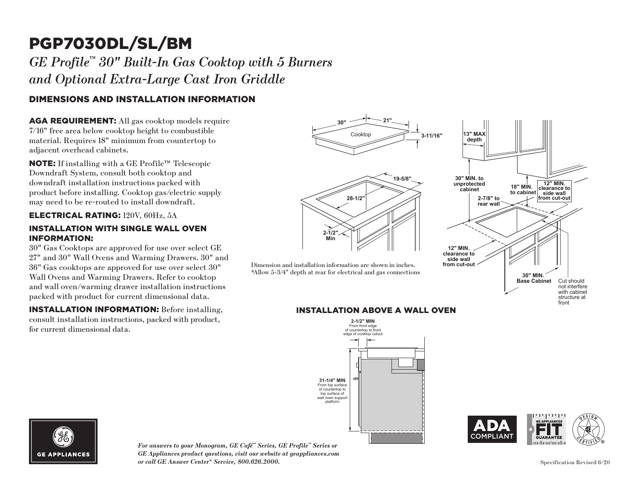# PGP7030DL/SL/BM

## *GE Profile™ 30" Built-In Gas Cooktop with 5 Burners and Optional Extra-Large Cast Iron Griddle*

### DIMENSIONS AND INSTALLATION INFORMATION

AGA REQUIREMENT: All gas cooktop models require 7/16" free area below cooktop height to combustible material. Requires 18" minimum from countertop to adjacent overhead cabinets.

NOTE: If installing with a GE Profile™ Telescopic Downdraft System, consult both cooktop and downdraft installation instructions packed with product before installing. Cooktop gas/electric supply may need to be re-routed to install downdraft.

#### ELECTRICAL RATING: 120V, 60Hz, 5A

#### INSTALLATION WITH SINGLE WALL OVEN INFORMATION:

30" Gas Cooktops are approved for use over select GE 27" and 30" Wall Ovens and Warming Drawers. 30" and 36" Gas cooktops are approved for use over select 30" Wall Ovens and Warming Drawers. Refer to cooktop and wall oven/warming drawer installation instructions packed with product for current dimensional data.

INSTALLATION INFORMATION: Before installing, consult installation instructions, packed with product, for current dimensional data.



#### **INSTALLATION ABOVE A WALL OVEN**







*For answers to your Monogram, GE Café™ Series, GE Profile™ Series or GE Appliances product questions, visit our website at geappliances.com or call GE Answer Center® Service, 800.626.2000.*

front